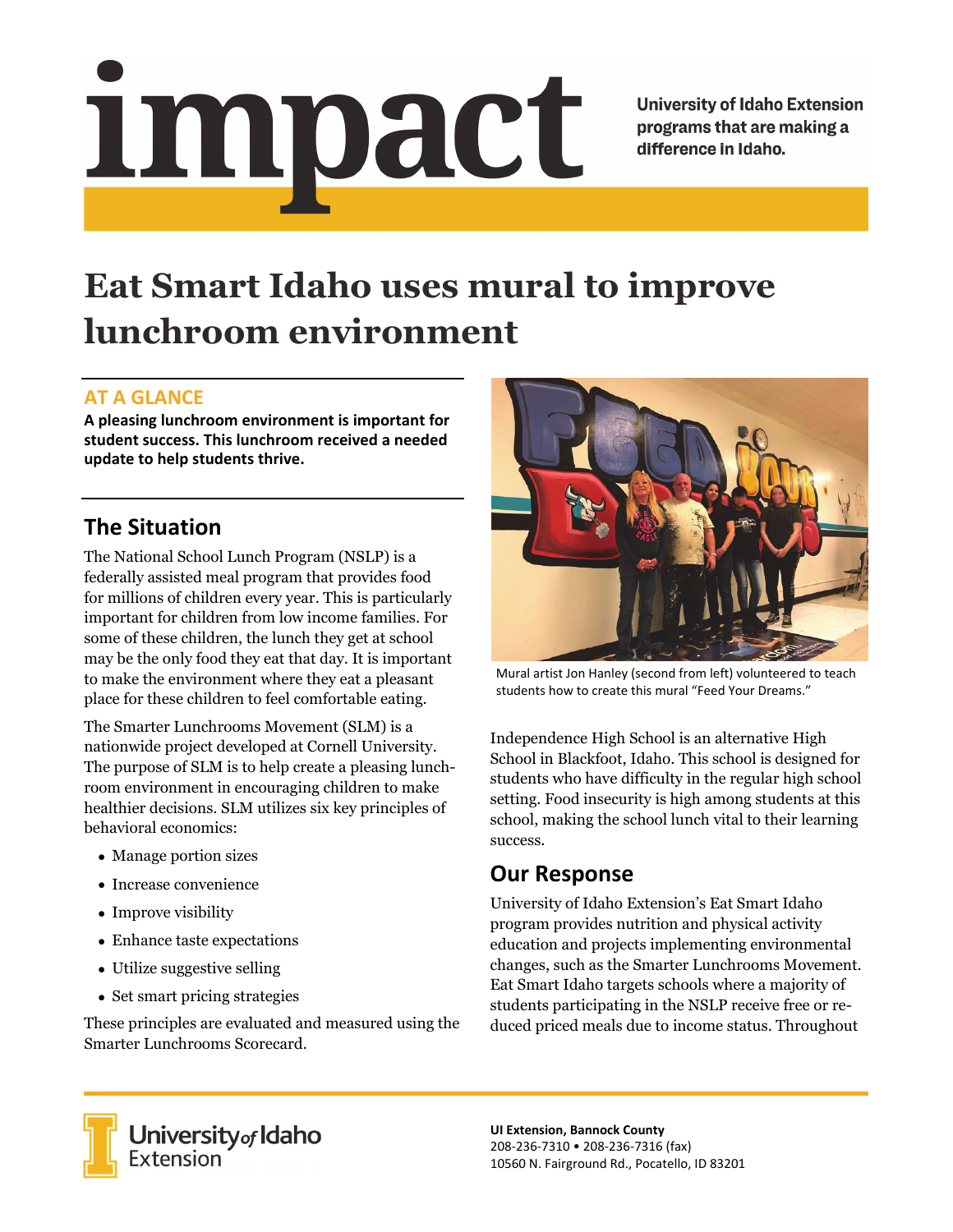# impact

**University of Idaho Extension** programs that are making a difference in Idaho.

# **Eat Smart Idaho uses mural to improve lunchroom environment**

### **AT A GLANCE**

**A pleasing lunchroom environment is important for student success. This lunchroom received a needed update to help students thrive.**

## **The Situation**

The National School Lunch Program (NSLP) is a federally assisted meal program that provides food for millions of children every year. This is particularly important for children from low income families. For some of these children, the lunch they get at school may be the only food they eat that day. It is important to make the environment where they eat a pleasant place for these children to feel comfortable eating.

The Smarter Lunchrooms Movement (SLM) is a nationwide project developed at Cornell University. The purpose of SLM is to help create a pleasing lunchroom environment in encouraging children to make healthier decisions. SLM utilizes six key principles of behavioral economics:

- Manage portion sizes
- Increase convenience
- Improve visibility
- Enhance taste expectations
- Utilize suggestive selling
- Set smart pricing strategies

These principles are evaluated and measured using the Smarter Lunchrooms Scorecard.



Mural artist Jon Hanley (second from left) volunteered to teach students how to create this mural "Feed Your Dreams."

Independence High School is an alternative High School in Blackfoot, Idaho. This school is designed for students who have difficulty in the regular high school setting. Food insecurity is high among students at this school, making the school lunch vital to their learning success.

### **Our Response**

University of Idaho Extension's Eat Smart Idaho program provides nutrition and physical activity education and projects implementing environmental changes, such as the Smarter Lunchrooms Movement. Eat Smart Idaho targets schools where a majority of students participating in the NSLP receive free or reduced priced meals due to income status. Throughout



University of Idaho<br>Extension

**UI Extension, Bannock County** 208‐236‐7310 • 208‐236‐7316 (fax) 10560 N. Fairground Rd., Pocatello, ID 83201